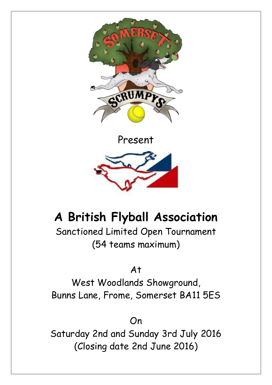

Present



# **A British Flyball Association**

Sanctioned Limited Open Tournament (54 teams maximum)

At

West Woodlands Showground, Bunns Lane, Frome, Somerset BA11 5ES

On

Saturday 2nd and Sunday 3rd July 2016 (Closing date 2nd June 2016)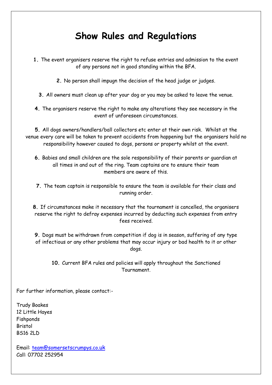### **Show Rules and Regulations**

- **1.** The event organisers reserve the right to refuse entries and admission to the event of any persons not in good standing within the BFA.
	- **2.** No person shall impugn the decision of the head judge or judges.
	- **3.** All owners must clean up after your dog or you may be asked to leave the venue.
- **4.** The organisers reserve the right to make any alterations they see necessary in the event of unforeseen circumstances.

**5.** All dogs owners/handlers/ball collectors etc enter at their own risk. Whilst at the venue every care will be taken to prevent accidents from happening but the organisers hold no responsibility however caused to dogs, persons or property whilst at the event.

- **6.** Babies and small children are the sole responsibility of their parents or guardian at all times in and out of the ring. Team captains are to ensure their team members are aware of this.
- **7.** The team captain is responsible to ensure the team is available for their class and running order.

**8.** If circumstances make it necessary that the tournament is cancelled, the organisers reserve the right to defray expenses incurred by deducting such expenses from entry fees received.

**9.** Dogs must be withdrawn from competition if dog is in season, suffering of any type of infectious or any other problems that may occur injury or bad health to it or other dogs.

#### **10.** Current BFA rules and policies will apply throughout the Sanctioned Tournament.

For further information, please contact:-

Trudy Boakes 12 Little Hayes Fishponds Bristol BS16 2LD

Email: [team@somersetscrumpys.co](mailto:team@somersetscrumpys.co.uk).uk Call: 07702 252954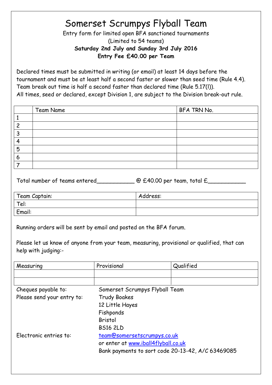### Somerset Scrumpys Flyball Team

Entry form for limited open BFA sanctioned tournaments (Limited to 54 teams) **Saturday 2nd July and Sunday 3rd July 2016 Entry Fee £40.00 per Team**

Declared times must be submitted in writing (or email) at least 14 days before the tournament and must be at least half a second faster or slower than seed time (Rule 4.4). Team break out time is half a second faster than declared time (Rule 5.17(l)). All times, seed or declared, except Division 1, are subject to the Division break-out rule.

| Team Name | BFA TRN No. |
|-----------|-------------|
|           |             |
|           |             |
|           |             |
|           |             |
|           |             |
|           |             |
|           |             |

Total number of teams entered @ £40.00 per team, total £

| Team Captain: | Address: |
|---------------|----------|
| Tel:          |          |
| Email:        |          |

Running orders will be sent by email and posted on the BFA forum.

Please let us know of anyone from your team, measuring, provisional or qualified, that can help with judging:-

| Measuring                  | Provisional                                       | Qualified |  |
|----------------------------|---------------------------------------------------|-----------|--|
|                            |                                                   |           |  |
|                            |                                                   |           |  |
| Cheques payable to:        | Somerset Scrumpys Flyball Team                    |           |  |
| Please send your entry to: | <b>Trudy Boakes</b>                               |           |  |
|                            | 12 Little Hayes                                   |           |  |
|                            | Fishponds                                         |           |  |
|                            | <b>Bristol</b>                                    |           |  |
|                            | <b>BS16 2LD</b>                                   |           |  |
| Electronic entries to:     | team@somersetscrumpys.co.uk                       |           |  |
|                            | or enter at www.iball4flyball.co.uk               |           |  |
|                            | Bank payments to sort code 20-13-42, A/C 63469085 |           |  |